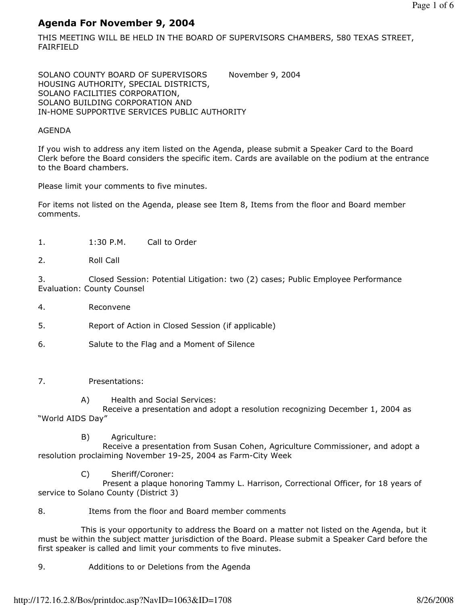# Agenda For November 9, 2004

THIS MEETING WILL BE HELD IN THE BOARD OF SUPERVISORS CHAMBERS, 580 TEXAS STREET, FAIRFIELD

SOLANO COUNTY BOARD OF SUPERVISORS November 9, 2004 HOUSING AUTHORITY, SPECIAL DISTRICTS, SOLANO FACILITIES CORPORATION, SOLANO BUILDING CORPORATION AND IN-HOME SUPPORTIVE SERVICES PUBLIC AUTHORITY

## AGENDA

If you wish to address any item listed on the Agenda, please submit a Speaker Card to the Board Clerk before the Board considers the specific item. Cards are available on the podium at the entrance to the Board chambers.

Please limit your comments to five minutes.

For items not listed on the Agenda, please see Item 8, Items from the floor and Board member comments.

- 1. 1:30 P.M. Call to Order
- 2. Roll Call

3. Closed Session: Potential Litigation: two (2) cases; Public Employee Performance Evaluation: County Counsel

- 4. Reconvene
- 5. Report of Action in Closed Session (if applicable)
- 6. Salute to the Flag and a Moment of Silence
- 7. Presentations:
	- A) Health and Social Services:

 Receive a presentation and adopt a resolution recognizing December 1, 2004 as "World AIDS Day"

B) Agriculture:

 Receive a presentation from Susan Cohen, Agriculture Commissioner, and adopt a resolution proclaiming November 19-25, 2004 as Farm-City Week

C) Sheriff/Coroner:

 Present a plaque honoring Tammy L. Harrison, Correctional Officer, for 18 years of service to Solano County (District 3)

8. Items from the floor and Board member comments

 This is your opportunity to address the Board on a matter not listed on the Agenda, but it must be within the subject matter jurisdiction of the Board. Please submit a Speaker Card before the first speaker is called and limit your comments to five minutes.

9. Additions to or Deletions from the Agenda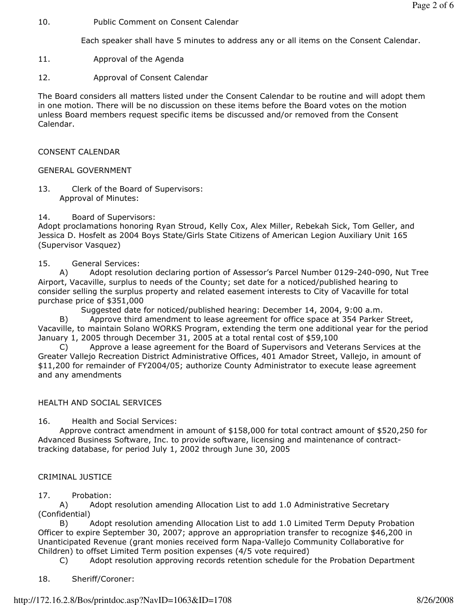10. Public Comment on Consent Calendar

Each speaker shall have 5 minutes to address any or all items on the Consent Calendar.

- 11. Approval of the Agenda
- 12. Approval of Consent Calendar

The Board considers all matters listed under the Consent Calendar to be routine and will adopt them in one motion. There will be no discussion on these items before the Board votes on the motion unless Board members request specific items be discussed and/or removed from the Consent Calendar.

CONSENT CALENDAR

## GENERAL GOVERNMENT

13. Clerk of the Board of Supervisors: Approval of Minutes:

## 14. Board of Supervisors:

Adopt proclamations honoring Ryan Stroud, Kelly Cox, Alex Miller, Rebekah Sick, Tom Geller, and Jessica D. Hosfelt as 2004 Boys State/Girls State Citizens of American Legion Auxiliary Unit 165 (Supervisor Vasquez)

## 15. General Services:

 A) Adopt resolution declaring portion of Assessor's Parcel Number 0129-240-090, Nut Tree Airport, Vacaville, surplus to needs of the County; set date for a noticed/published hearing to consider selling the surplus property and related easement interests to City of Vacaville for total purchase price of \$351,000

Suggested date for noticed/published hearing: December 14, 2004, 9:00 a.m.

 B) Approve third amendment to lease agreement for office space at 354 Parker Street, Vacaville, to maintain Solano WORKS Program, extending the term one additional year for the period January 1, 2005 through December 31, 2005 at a total rental cost of \$59,100

 C) Approve a lease agreement for the Board of Supervisors and Veterans Services at the Greater Vallejo Recreation District Administrative Offices, 401 Amador Street, Vallejo, in amount of \$11,200 for remainder of FY2004/05; authorize County Administrator to execute lease agreement and any amendments

## HEALTH AND SOCIAL SERVICES

16. Health and Social Services:

 Approve contract amendment in amount of \$158,000 for total contract amount of \$520,250 for Advanced Business Software, Inc. to provide software, licensing and maintenance of contracttracking database, for period July 1, 2002 through June 30, 2005

## CRIMINAL JUSTICE

## 17. Probation:

 A) Adopt resolution amending Allocation List to add 1.0 Administrative Secretary (Confidential)

 B) Adopt resolution amending Allocation List to add 1.0 Limited Term Deputy Probation Officer to expire September 30, 2007; approve an appropriation transfer to recognize \$46,200 in Unanticipated Revenue (grant monies received form Napa-Vallejo Community Collaborative for Children) to offset Limited Term position expenses (4/5 vote required)

C) Adopt resolution approving records retention schedule for the Probation Department

18. Sheriff/Coroner: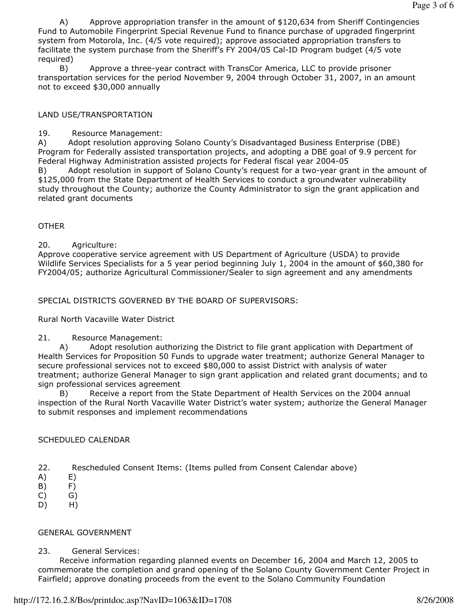A) Approve appropriation transfer in the amount of \$120,634 from Sheriff Contingencies Fund to Automobile Fingerprint Special Revenue Fund to finance purchase of upgraded fingerprint system from Motorola, Inc. (4/5 vote required); approve associated appropriation transfers to facilitate the system purchase from the Sheriff's FY 2004/05 Cal-ID Program budget (4/5 vote required)

 B) Approve a three-year contract with TransCor America, LLC to provide prisoner transportation services for the period November 9, 2004 through October 31, 2007, in an amount not to exceed \$30,000 annually

# LAND USE/TRANSPORTATION

19. Resource Management:

A) Adopt resolution approving Solano County's Disadvantaged Business Enterprise (DBE) Program for Federally assisted transportation projects, and adopting a DBE goal of 9.9 percent for Federal Highway Administration assisted projects for Federal fiscal year 2004-05

Adopt resolution in support of Solano County's request for a two-year grant in the amount of \$125,000 from the State Department of Health Services to conduct a groundwater vulnerability study throughout the County; authorize the County Administrator to sign the grant application and related grant documents

## **OTHER**

## 20. Agriculture:

Approve cooperative service agreement with US Department of Agriculture (USDA) to provide Wildlife Services Specialists for a 5 year period beginning July 1, 2004 in the amount of \$60,380 for FY2004/05; authorize Agricultural Commissioner/Sealer to sign agreement and any amendments

SPECIAL DISTRICTS GOVERNED BY THE BOARD OF SUPERVISORS:

Rural North Vacaville Water District

## 21. Resource Management:

 A) Adopt resolution authorizing the District to file grant application with Department of Health Services for Proposition 50 Funds to upgrade water treatment; authorize General Manager to secure professional services not to exceed \$80,000 to assist District with analysis of water treatment; authorize General Manager to sign grant application and related grant documents; and to sign professional services agreement

 B) Receive a report from the State Department of Health Services on the 2004 annual inspection of the Rural North Vacaville Water District's water system; authorize the General Manager to submit responses and implement recommendations

# SCHEDULED CALENDAR

- 22. Rescheduled Consent Items: (Items pulled from Consent Calendar above)
- A) E)
- B) F)
- C) G)
- D) H)

# GENERAL GOVERNMENT

23. General Services:

 Receive information regarding planned events on December 16, 2004 and March 12, 2005 to commemorate the completion and grand opening of the Solano County Government Center Project in Fairfield; approve donating proceeds from the event to the Solano Community Foundation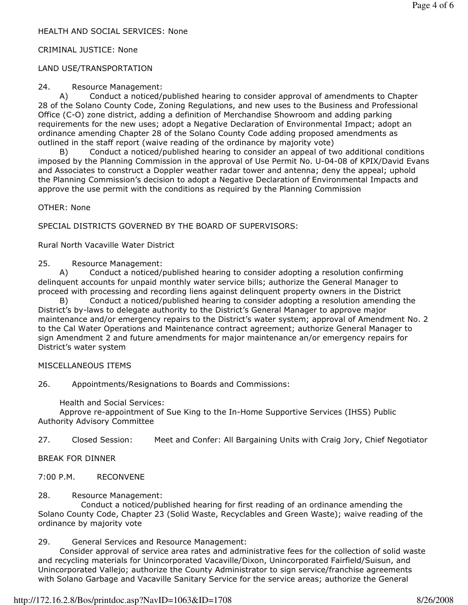## CRIMINAL JUSTICE: None

## LAND USE/TRANSPORTATION

#### 24. Resource Management:

 A) Conduct a noticed/published hearing to consider approval of amendments to Chapter 28 of the Solano County Code, Zoning Regulations, and new uses to the Business and Professional Office (C-O) zone district, adding a definition of Merchandise Showroom and adding parking requirements for the new uses; adopt a Negative Declaration of Environmental Impact; adopt an ordinance amending Chapter 28 of the Solano County Code adding proposed amendments as outlined in the staff report (waive reading of the ordinance by majority vote)

 B) Conduct a noticed/published hearing to consider an appeal of two additional conditions imposed by the Planning Commission in the approval of Use Permit No. U-04-08 of KPIX/David Evans and Associates to construct a Doppler weather radar tower and antenna; deny the appeal; uphold the Planning Commission's decision to adopt a Negative Declaration of Environmental Impacts and approve the use permit with the conditions as required by the Planning Commission

OTHER: None

SPECIAL DISTRICTS GOVERNED BY THE BOARD OF SUPERVISORS:

Rural North Vacaville Water District

25. Resource Management:

 A) Conduct a noticed/published hearing to consider adopting a resolution confirming delinquent accounts for unpaid monthly water service bills; authorize the General Manager to proceed with processing and recording liens against delinquent property owners in the District

 B) Conduct a noticed/published hearing to consider adopting a resolution amending the District's by-laws to delegate authority to the District's General Manager to approve major maintenance and/or emergency repairs to the District's water system; approval of Amendment No. 2 to the Cal Water Operations and Maintenance contract agreement; authorize General Manager to sign Amendment 2 and future amendments for major maintenance an/or emergency repairs for District's water system

## MISCELLANEOUS ITEMS

26. Appointments/Resignations to Boards and Commissions:

Health and Social Services:

 Approve re-appointment of Sue King to the In-Home Supportive Services (IHSS) Public Authority Advisory Committee

27. Closed Session: Meet and Confer: All Bargaining Units with Craig Jory, Chief Negotiator

BREAK FOR DINNER

7:00 P.M. RECONVENE

28. Resource Management:

 Conduct a noticed/published hearing for first reading of an ordinance amending the Solano County Code, Chapter 23 (Solid Waste, Recyclables and Green Waste); waive reading of the ordinance by majority vote

29. General Services and Resource Management:

 Consider approval of service area rates and administrative fees for the collection of solid waste and recycling materials for Unincorporated Vacaville/Dixon, Unincorporated Fairfield/Suisun, and Unincorporated Vallejo; authorize the County Administrator to sign service/franchise agreements with Solano Garbage and Vacaville Sanitary Service for the service areas; authorize the General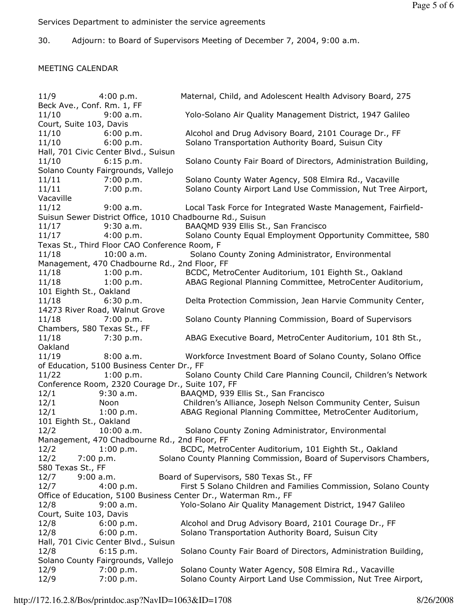Services Department to administer the service agreements

30. Adjourn: to Board of Supervisors Meeting of December 7, 2004, 9:00 a.m.

# MEETING CALENDAR

11/9 4:00 p.m. Maternal, Child, and Adolescent Health Advisory Board, 275 Beck Ave., Conf. Rm. 1, FF 11/10 9:00 a.m. Yolo-Solano Air Quality Management District, 1947 Galileo Court, Suite 103, Davis 11/10 6:00 p.m. Alcohol and Drug Advisory Board, 2101 Courage Dr., FF 11/10 6:00 p.m. Solano Transportation Authority Board, Suisun City Hall, 701 Civic Center Blvd., Suisun 11/10 6:15 p.m. Solano County Fair Board of Directors, Administration Building, Solano County Fairgrounds, Vallejo 11/11 7:00 p.m. Solano County Water Agency, 508 Elmira Rd., Vacaville 11/11 7:00 p.m. Solano County Airport Land Use Commission, Nut Tree Airport, Vacaville 11/12 9:00 a.m. Local Task Force for Integrated Waste Management, Fairfield-Suisun Sewer District Office, 1010 Chadbourne Rd., Suisun 11/17 9:30 a.m. BAAQMD 939 Ellis St., San Francisco 11/17 4:00 p.m. Solano County Equal Employment Opportunity Committee, 580 Texas St., Third Floor CAO Conference Room, F 11/18 10:00 a.m. Solano County Zoning Administrator, Environmental Management, 470 Chadbourne Rd., 2nd Floor, FF 11/18 1:00 p.m. BCDC, MetroCenter Auditorium, 101 Eighth St., Oakland 11/18 1:00 p.m. ABAG Regional Planning Committee, MetroCenter Auditorium, 101 Eighth St., Oakland 11/18 6:30 p.m. Delta Protection Commission, Jean Harvie Community Center, 14273 River Road, Walnut Grove 11/18 7:00 p.m. Solano County Planning Commission, Board of Supervisors Chambers, 580 Texas St., FF 11/18 7:30 p.m. ABAG Executive Board, MetroCenter Auditorium, 101 8th St., Oakland 11/19 8:00 a.m. Workforce Investment Board of Solano County, Solano Office of Education, 5100 Business Center Dr., FF 11/22 1:00 p.m. Solano County Child Care Planning Council, Children's Network Conference Room, 2320 Courage Dr., Suite 107, FF 12/1 9:30 a.m. BAAQMD, 939 Ellis St., San Francisco 12/1 Noon Children's Alliance, Joseph Nelson Community Center, Suisun 12/1 1:00 p.m. ABAG Regional Planning Committee, MetroCenter Auditorium, 101 Eighth St., Oakland 12/2 10:00 a.m. Solano County Zoning Administrator, Environmental Management, 470 Chadbourne Rd., 2nd Floor, FF 12/2 1:00 p.m. BCDC, MetroCenter Auditorium, 101 Eighth St., Oakland 12/2 7:00 p.m. Solano County Planning Commission, Board of Supervisors Chambers, 580 Texas St., FF 12/7 9:00 a.m. Board of Supervisors, 580 Texas St., FF 12/7 4:00 p.m. First 5 Solano Children and Families Commission, Solano County Office of Education, 5100 Business Center Dr., Waterman Rm., FF 12/8 9:00 a.m. Yolo-Solano Air Quality Management District, 1947 Galileo Court, Suite 103, Davis 12/8 6:00 p.m. Alcohol and Drug Advisory Board, 2101 Courage Dr., FF 12/8 6:00 p.m. Solano Transportation Authority Board, Suisun City Hall, 701 Civic Center Blvd., Suisun 12/8 6:15 p.m. Solano County Fair Board of Directors, Administration Building, Solano County Fairgrounds, Vallejo 12/9 7:00 p.m. Solano County Water Agency, 508 Elmira Rd., Vacaville 12/9 7:00 p.m. Solano County Airport Land Use Commission, Nut Tree Airport,